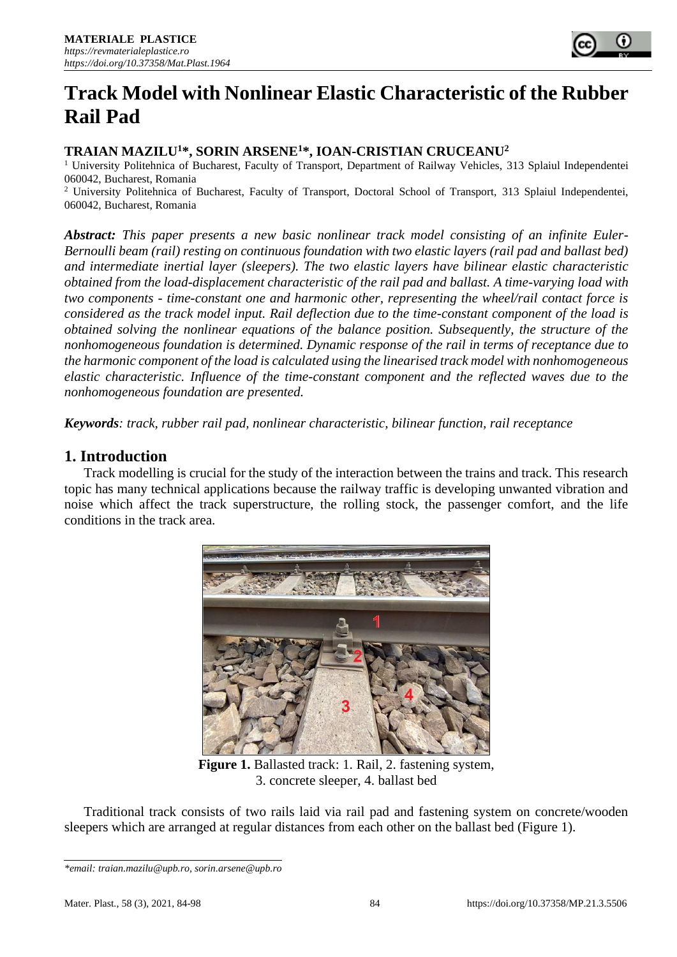

# **Track Model with Nonlinear Elastic Characteristic of the Rubber Rail Pad**

## **TRAIAN MAZILU<sup>1</sup>\*, SORIN ARSENE<sup>1</sup>\*, IOAN-CRISTIAN CRUCEANU<sup>2</sup>**

<sup>1</sup> University Politehnica of Bucharest, Faculty of Transport, Department of Railway Vehicles, 313 Splaiul Independentei 060042, Bucharest, Romania

<sup>2</sup> University Politehnica of Bucharest, Faculty of Transport, Doctoral School of Transport, 313 Splaiul Independentei, 060042, Bucharest, Romania

*Abstract: This paper presents a new basic nonlinear track model consisting of an infinite Euler-Bernoulli beam (rail) resting on continuous foundation with two elastic layers (rail pad and ballast bed) and intermediate inertial layer (sleepers). The two elastic layers have bilinear elastic characteristic obtained from the load-displacement characteristic of the rail pad and ballast. A time-varying load with two components - time-constant one and harmonic other, representing the wheel/rail contact force is considered as the track model input. Rail deflection due to the time-constant component of the load is obtained solving the nonlinear equations of the balance position. Subsequently, the structure of the nonhomogeneous foundation is determined. Dynamic response of the rail in terms of receptance due to the harmonic component of the load is calculated using the linearised track model with nonhomogeneous elastic characteristic. Influence of the time-constant component and the reflected waves due to the nonhomogeneous foundation are presented.* 

*Keywords: track, rubber rail pad, nonlinear characteristic, bilinear function, rail receptance*

### **1. Introduction**

Track modelling is crucial for the study of the interaction between the trains and track. This research topic has many technical applications because the railway traffic is developing unwanted vibration and noise which affect the track superstructure, the rolling stock, the passenger comfort, and the life conditions in the track area.



**Figure 1.** Ballasted track: 1. Rail, 2. fastening system, 3. concrete sleeper, 4. ballast bed

Traditional track consists of two rails laid via rail pad and fastening system on concrete/wooden sleepers which are arranged at regular distances from each other on the ballast bed (Figure 1).

*<sup>\*</sup>email[: traian.mazilu@upb.ro,](mailto:traian.mazilu@upb.ro) sorin.arsene@upb.ro*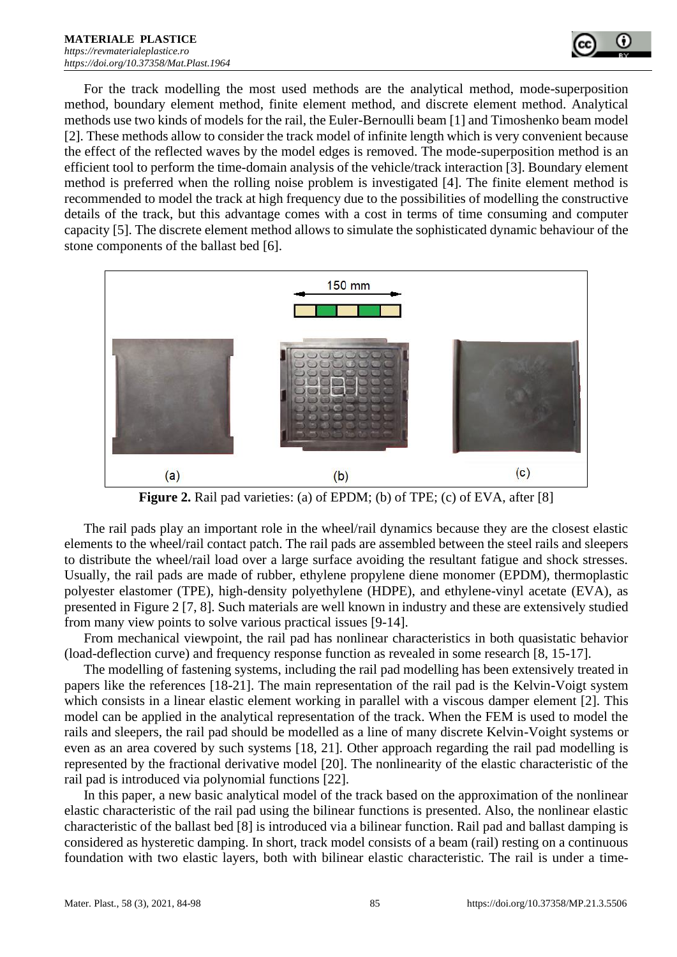

For the track modelling the most used methods are the analytical method, mode-superposition method, boundary element method, finite element method, and discrete element method. Analytical methods use two kinds of models for the rail, the Euler-Bernoulli beam [1] and Timoshenko beam model [2]. These methods allow to consider the track model of infinite length which is very convenient because the effect of the reflected waves by the model edges is removed. The mode-superposition method is an efficient tool to perform the time-domain analysis of the vehicle/track interaction [3]. Boundary element method is preferred when the rolling noise problem is investigated [4]. The finite element method is recommended to model the track at high frequency due to the possibilities of modelling the constructive details of the track, but this advantage comes with a cost in terms of time consuming and computer capacity [5]. The discrete element method allows to simulate the sophisticated dynamic behaviour of the stone components of the ballast bed [6].



**Figure 2.** Rail pad varieties: (a) of EPDM; (b) of TPE; (c) of EVA, after [8]

The rail pads play an important role in the wheel/rail dynamics because they are the closest elastic elements to the wheel/rail contact patch. The rail pads are assembled between the steel rails and sleepers to distribute the wheel/rail load over a large surface avoiding the resultant fatigue and shock stresses. Usually, the rail pads are made of rubber, ethylene propylene diene monomer (EPDM), thermoplastic polyester elastomer (TPE), high-density polyethylene (HDPE), and ethylene-vinyl acetate (EVA), as presented in Figure 2 [7, 8]. Such materials are well known in industry and these are extensively studied from many view points to solve various practical issues [9-14].

From mechanical viewpoint, the rail pad has nonlinear characteristics in both quasistatic behavior (load-deflection curve) and frequency response function as revealed in some research [8, 15-17].

The modelling of fastening systems, including the rail pad modelling has been extensively treated in papers like the references [18-21]. The main representation of the rail pad is the Kelvin-Voigt system which consists in a linear elastic element working in parallel with a viscous damper element [2]. This model can be applied in the analytical representation of the track. When the FEM is used to model the rails and sleepers, the rail pad should be modelled as a line of many discrete Kelvin-Voight systems or even as an area covered by such systems [18, 21]. Other approach regarding the rail pad modelling is represented by the fractional derivative model [20]. The nonlinearity of the elastic characteristic of the rail pad is introduced via polynomial functions [22].

In this paper, a new basic analytical model of the track based on the approximation of the nonlinear elastic characteristic of the rail pad using the bilinear functions is presented. Also, the nonlinear elastic characteristic of the ballast bed [8] is introduced via a bilinear function. Rail pad and ballast damping is considered as hysteretic damping. In short, track model consists of a beam (rail) resting on a continuous foundation with two elastic layers, both with bilinear elastic characteristic. The rail is under a time-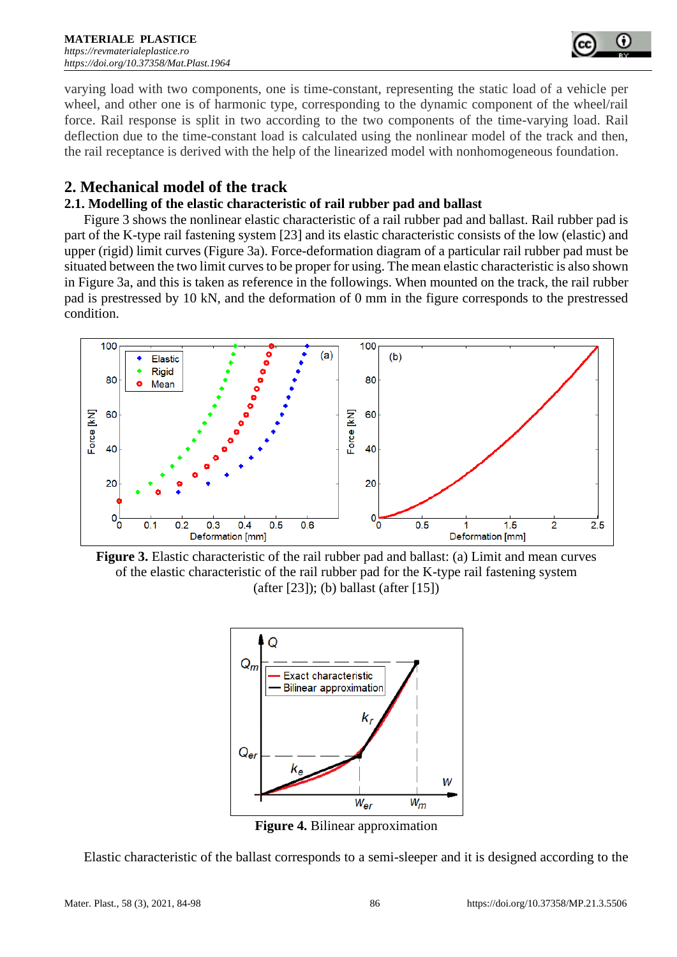

varying load with two components, one is time-constant, representing the static load of a vehicle per wheel, and other one is of harmonic type, corresponding to the dynamic component of the wheel/rail force. Rail response is split in two according to the two components of the time-varying load. Rail deflection due to the time-constant load is calculated using the nonlinear model of the track and then, the rail receptance is derived with the help of the linearized model with nonhomogeneous foundation.

# **2. Mechanical model of the track**

#### **2.1. Modelling of the elastic characteristic of rail rubber pad and ballast**

Figure 3 shows the nonlinear elastic characteristic of a rail rubber pad and ballast. Rail rubber pad is part of the K-type rail fastening system [23] and its elastic characteristic consists of the low (elastic) and upper (rigid) limit curves (Figure 3a). Force-deformation diagram of a particular rail rubber pad must be situated between the two limit curves to be proper for using. The mean elastic characteristic is also shown in Figure 3a, and this is taken as reference in the followings. When mounted on the track, the rail rubber pad is prestressed by 10 kN, and the deformation of 0 mm in the figure corresponds to the prestressed condition.



**Figure 3.** Elastic characteristic of the rail rubber pad and ballast: (a) Limit and mean curves of the elastic characteristic of the rail rubber pad for the K-type rail fastening system (after [23]); (b) ballast (after [15])



**Figure 4.** Bilinear approximation

Elastic characteristic of the ballast corresponds to a semi-sleeper and it is designed according to the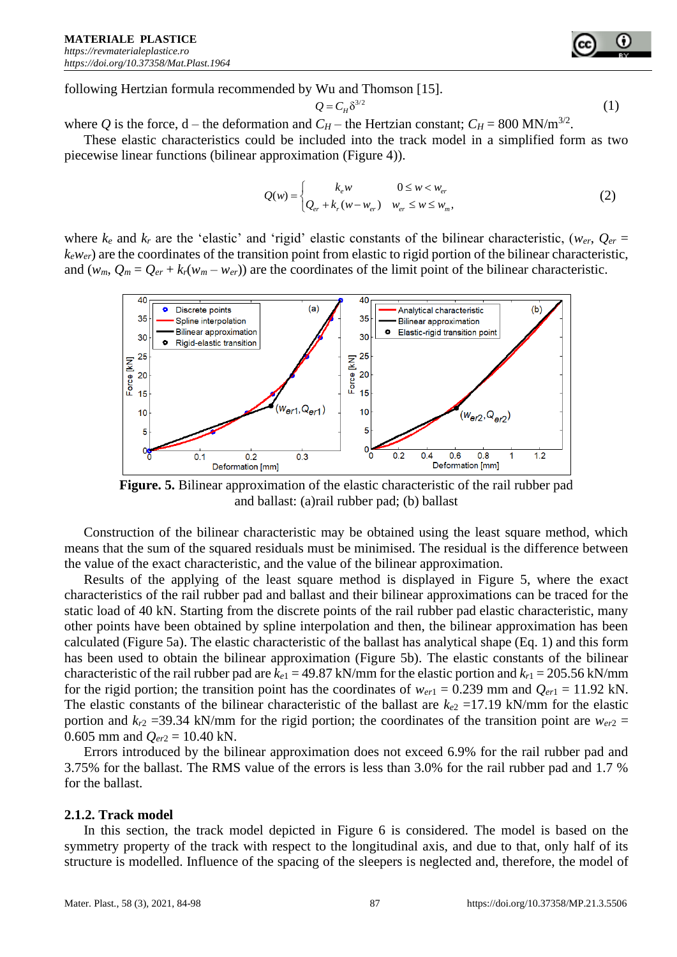following Hertzian formula recommended by Wu and Thomson [15].

$$
Q = C_H \delta^{3/2} \tag{1}
$$

where *Q* is the force, d – the deformation and  $C_H$  – the Hertzian constant;  $C_H = 800$  MN/m<sup>3/2</sup>.

These elastic characteristics could be included into the track model in a simplified form as two piecewise linear functions (bilinear approximation (Figure 4)).

$$
Q(w) = \begin{cases} k_e w & 0 \le w < w_{er} \\ Q_{er} + k_r (w - w_{er}) & w_{er} \le w \le w_m, \end{cases}
$$
 (2)

where  $k_e$  and  $k_r$  are the 'elastic' and 'rigid' elastic constants of the bilinear characteristic, ( $w_{er}$ ,  $Q_{er}$  = *kewer*) are the coordinates of the transition point from elastic to rigid portion of the bilinear characteristic, and  $(w_m, Q_m = Q_{er} + k_r(w_m - w_{er}))$  are the coordinates of the limit point of the bilinear characteristic.



**Figure. 5.** Bilinear approximation of the elastic characteristic of the rail rubber pad and ballast: (a)rail rubber pad; (b) ballast

Construction of the bilinear characteristic may be obtained using the least square method, which means that the sum of the squared residuals must be minimised. The residual is the difference between the value of the exact characteristic, and the value of the bilinear approximation.

Results of the applying of the least square method is displayed in Figure 5, where the exact characteristics of the rail rubber pad and ballast and their bilinear approximations can be traced for the static load of 40 kN. Starting from the discrete points of the rail rubber pad elastic characteristic, many other points have been obtained by spline interpolation and then, the bilinear approximation has been calculated (Figure 5a). The elastic characteristic of the ballast has analytical shape (Eq. 1) and this form has been used to obtain the bilinear approximation (Figure 5b). The elastic constants of the bilinear characteristic of the rail rubber pad are  $k_{e1} = 49.87$  kN/mm for the elastic portion and  $k_{r1} = 205.56$  kN/mm for the rigid portion; the transition point has the coordinates of  $w_{er1} = 0.239$  mm and  $Q_{er1} = 11.92$  kN. The elastic constants of the bilinear characteristic of the ballast are  $k_{e2}$  =17.19 kN/mm for the elastic portion and  $k_{r2}$  =39.34 kN/mm for the rigid portion; the coordinates of the transition point are  $w_{er2}$  = 0.605 mm and *Qer*<sup>2</sup> = 10.40 kN.

Errors introduced by the bilinear approximation does not exceed 6.9% for the rail rubber pad and 3.75% for the ballast. The RMS value of the errors is less than 3.0% for the rail rubber pad and 1.7 % for the ballast.

#### **2.1.2. Track model**

In this section, the track model depicted in Figure 6 is considered. The model is based on the symmetry property of the track with respect to the longitudinal axis, and due to that, only half of its structure is modelled. Influence of the spacing of the sleepers is neglected and, therefore, the model of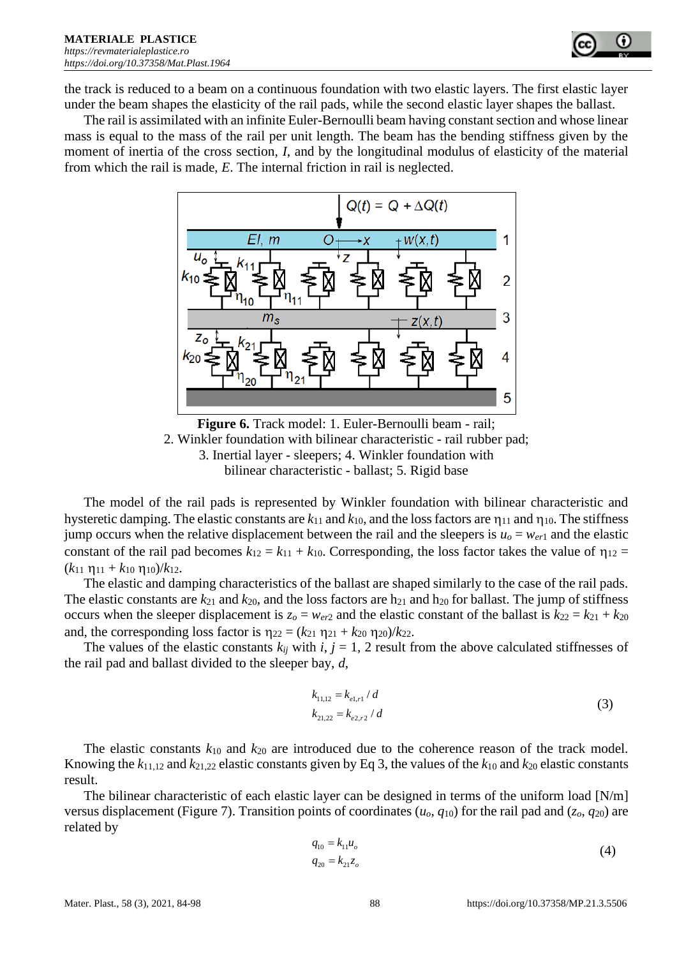

the track is reduced to a beam on a continuous foundation with two elastic layers. The first elastic layer under the beam shapes the elasticity of the rail pads, while the second elastic layer shapes the ballast.

The rail is assimilated with an infinite Euler-Bernoulli beam having constant section and whose linear mass is equal to the mass of the rail per unit length. The beam has the bending stiffness given by the moment of inertia of the cross section, *I*, and by the longitudinal modulus of elasticity of the material from which the rail is made, *E*. The internal friction in rail is neglected.



**Figure 6.** Track model: 1. Euler-Bernoulli beam - rail; 2. Winkler foundation with bilinear characteristic - rail rubber pad; 3. Inertial layer - sleepers; 4. Winkler foundation with bilinear characteristic - ballast; 5. Rigid base

The model of the rail pads is represented by Winkler foundation with bilinear characteristic and hysteretic damping. The elastic constants are  $k_{11}$  and  $k_{10}$ , and the loss factors are  $\eta_{11}$  and  $\eta_{10}$ . The stiffness jump occurs when the relative displacement between the rail and the sleepers is  $u_0 = w_{er1}$  and the elastic constant of the rail pad becomes  $k_{12} = k_{11} + k_{10}$ . Corresponding, the loss factor takes the value of  $\eta_{12} =$  $(k_{11} \eta_{11} + k_{10} \eta_{10})/k_{12}$ .

The elastic and damping characteristics of the ballast are shaped similarly to the case of the rail pads. The elastic constants are  $k_{21}$  and  $k_{20}$ , and the loss factors are  $h_{21}$  and  $h_{20}$  for ballast. The jump of stiffness occurs when the sleeper displacement is  $z_0 = w_{eV}$  and the elastic constant of the ballast is  $k_{22} = k_{21} + k_{20}$ and, the corresponding loss factor is  $\eta_{22} = (k_{21} \eta_{21} + k_{20} \eta_{20})/k_{22}$ .

The values of the elastic constants  $k_{ij}$  with  $i, j = 1, 2$  result from the above calculated stiffnesses of the rail pad and ballast divided to the sleeper bay, *d*,

$$
k_{11,12} = k_{e1,r1} / d
$$
  
\n
$$
k_{21,22} = k_{e2,r2} / d
$$
 (3)

The elastic constants *k*<sup>10</sup> and *k*<sup>20</sup> are introduced due to the coherence reason of the track model. Knowing the  $k_{11,12}$  and  $k_{21,22}$  elastic constants given by Eq 3, the values of the  $k_{10}$  and  $k_{20}$  elastic constants result.

The bilinear characteristic of each elastic layer can be designed in terms of the uniform load [N/m] versus displacement (Figure 7). Transition points of coordinates (*uo*, *q*10) for the rail pad and (*zo*, *q*20) are related by

$$
q_{10} = k_{11}u_o
$$
  
\n
$$
q_{20} = k_{21}z_o
$$
\n(4)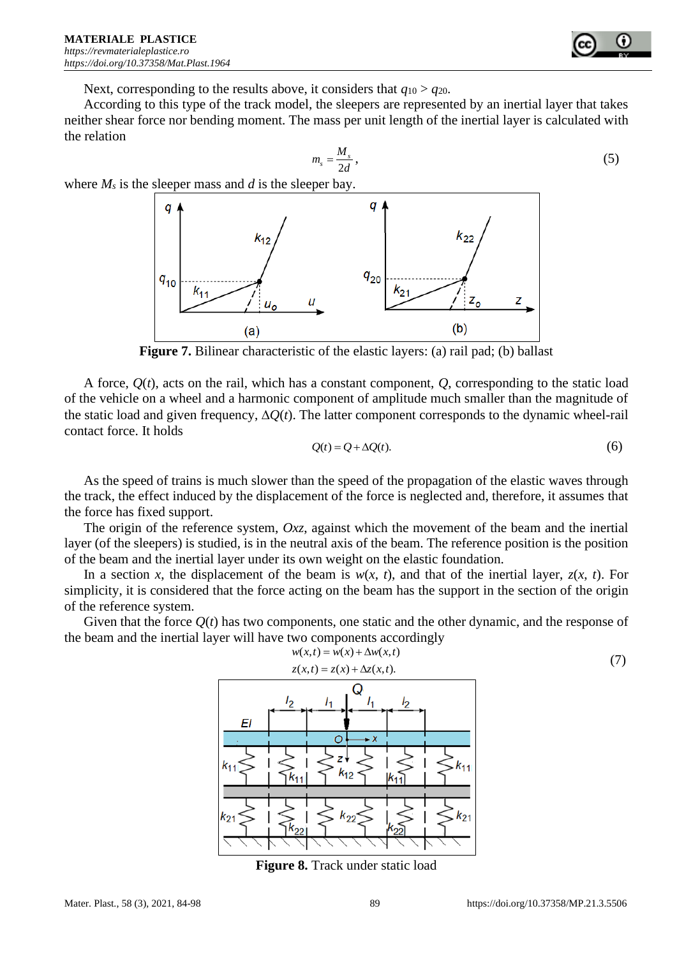

Next, corresponding to the results above, it considers that  $q_{10} > q_{20}$ .

According to this type of the track model, the sleepers are represented by an inertial layer that takes neither shear force nor bending moment. The mass per unit length of the inertial layer is calculated with the relation

$$
m_s = \frac{M_s}{2d},\tag{5}
$$

where  $M_s$  is the sleeper mass and  $d$  is the sleeper bay.



**Figure 7.** Bilinear characteristic of the elastic layers: (a) rail pad; (b) ballast

A force,  $O(t)$ , acts on the rail, which has a constant component,  $O$ , corresponding to the static load of the vehicle on a wheel and a harmonic component of amplitude much smaller than the magnitude of the static load and given frequency,  $\Delta Q(t)$ . The latter component corresponds to the dynamic wheel-rail contact force. It holds

$$
Q(t) = Q + \Delta Q(t). \tag{6}
$$

As the speed of trains is much slower than the speed of the propagation of the elastic waves through the track, the effect induced by the displacement of the force is neglected and, therefore, it assumes that the force has fixed support.

The origin of the reference system, *Oxz*, against which the movement of the beam and the inertial layer (of the sleepers) is studied, is in the neutral axis of the beam. The reference position is the position of the beam and the inertial layer under its own weight on the elastic foundation.

In a section *x*, the displacement of the beam is  $w(x, t)$ , and that of the inertial layer,  $z(x, t)$ . For simplicity, it is considered that the force acting on the beam has the support in the section of the origin of the reference system.

Given that the force *Q*(*t*) has two components, one static and the other dynamic, and the response of the beam and the inertial layer will have two components accordingly



**Figure 8.** Track under static load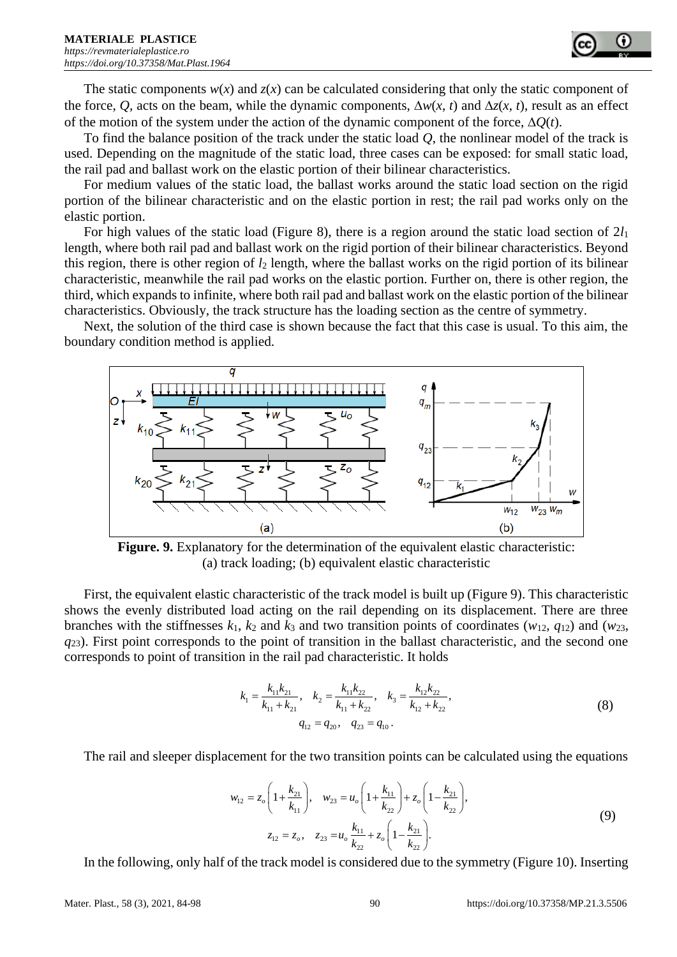The static components  $w(x)$  and  $z(x)$  can be calculated considering that only the static component of the force, Q, acts on the beam, while the dynamic components,  $\Delta w(x, t)$  and  $\Delta z(x, t)$ , result as an effect of the motion of the system under the action of the dynamic component of the force,  $\Delta Q(t)$ .

To find the balance position of the track under the static load *Q*, the nonlinear model of the track is used. Depending on the magnitude of the static load, three cases can be exposed: for small static load, the rail pad and ballast work on the elastic portion of their bilinear characteristics.

For medium values of the static load, the ballast works around the static load section on the rigid portion of the bilinear characteristic and on the elastic portion in rest; the rail pad works only on the elastic portion.

For high values of the static load (Figure 8), there is a region around the static load section of 2*l*<sup>1</sup> length, where both rail pad and ballast work on the rigid portion of their bilinear characteristics. Beyond this region, there is other region of *l*<sup>2</sup> length, where the ballast works on the rigid portion of its bilinear characteristic, meanwhile the rail pad works on the elastic portion. Further on, there is other region, the third, which expands to infinite, where both rail pad and ballast work on the elastic portion of the bilinear characteristics. Obviously, the track structure has the loading section as the centre of symmetry.

Next, the solution of the third case is shown because the fact that this case is usual. To this aim, the boundary condition method is applied.



Figure. 9. Explanatory for the determination of the equivalent elastic characteristic: (a) track loading; (b) equivalent elastic characteristic

First, the equivalent elastic characteristic of the track model is built up (Figure 9). This characteristic shows the evenly distributed load acting on the rail depending on its displacement. There are three branches with the stiffnesses  $k_1$ ,  $k_2$  and  $k_3$  and two transition points of coordinates ( $w_{12}$ ,  $q_{12}$ ) and ( $w_{23}$ , *q*23). First point corresponds to the point of transition in the ballast characteristic, and the second one corresponds to point of transition in the rail pad characteristic. It holds

$$
k_1 = \frac{k_{11}k_{21}}{k_{11} + k_{21}}, \quad k_2 = \frac{k_{11}k_{22}}{k_{11} + k_{22}}, \quad k_3 = \frac{k_{12}k_{22}}{k_{12} + k_{22}},
$$
  

$$
q_{12} = q_{20}, \quad q_{23} = q_{10}.
$$
 (8)

The rail and sleeper displacement for the two transition points can be calculated using the equations

$$
w_{12} = z_o \left( 1 + \frac{k_{21}}{k_{11}} \right), \quad w_{23} = u_o \left( 1 + \frac{k_{11}}{k_{22}} \right) + z_o \left( 1 - \frac{k_{21}}{k_{22}} \right),
$$
  

$$
z_{12} = z_o, \quad z_{23} = u_o \frac{k_{11}}{k_{22}} + z_o \left( 1 - \frac{k_{21}}{k_{22}} \right).
$$
 (9)

In the following, only half of the track model is considered due to the symmetry (Figure 10). Inserting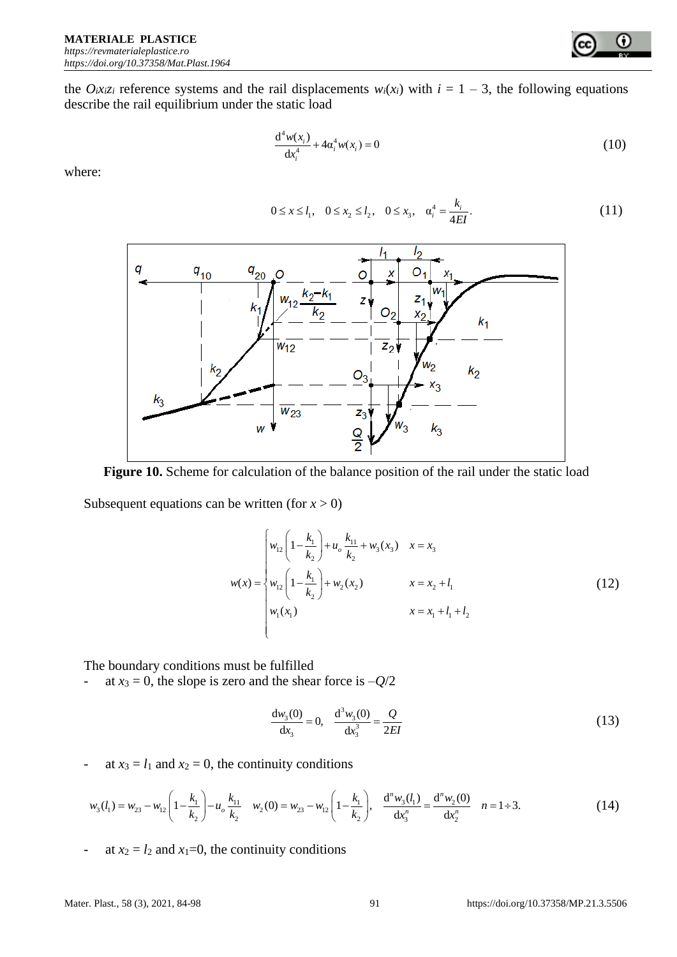the  $O_i x_i z_i$  reference systems and the rail displacements  $w_i(x_i)$  with  $i = 1 - 3$ , the following equations describe the rail equilibrium under the static load

$$
\frac{d^4 w(x_i)}{dx_i^4} + 4\alpha_i^4 w(x_i) = 0
$$
\n(10)

۰

where:

$$
0 \le x \le l_1, \quad 0 \le x_2 \le l_2, \quad 0 \le x_3, \quad \alpha_i^4 = \frac{k_i}{4EI}.
$$
 (11)



Figure 10. Scheme for calculation of the balance position of the rail under the static load

Subsequent equations can be written (for  $x > 0$ )

$$
w(x) = \begin{cases} w_{12} \left( 1 - \frac{k_1}{k_2} \right) + u_o \frac{k_{11}}{k_2} + w_3(x_3) & x = x_3 \\ w_{12} \left( 1 - \frac{k_1}{k_2} \right) + w_2(x_2) & x = x_2 + l_1 \\ w_1(x_1) & x = x_1 + l_1 + l_2 \end{cases}
$$
 (12)

The boundary conditions must be fulfilled

- at  $x_3 = 0$ , the slope is zero and the shear force is  $-Q/2$ 

$$
\frac{dw_3(0)}{dx_3} = 0, \quad \frac{d^3w_3(0)}{dx_3^3} = \frac{Q}{2EI}
$$
\n(13)

- at 
$$
x_3 = l_1
$$
 and  $x_2 = 0$ , the continuity conditions  
\n
$$
w_3(l_1) = w_{23} - w_{12} \left( 1 - \frac{k_1}{k_2} \right) - u_o \frac{k_{11}}{k_2} \quad w_2(0) = w_{23} - w_{12} \left( 1 - \frac{k_1}{k_2} \right), \quad \frac{d^n w_3(l_1)}{dx_3^n} = \frac{d^n w_2(0)}{dx_2^n} \quad n = 1 \div 3.
$$
\n(14)

- at  $x_2 = l_2$  and  $x_1=0$ , the continuity conditions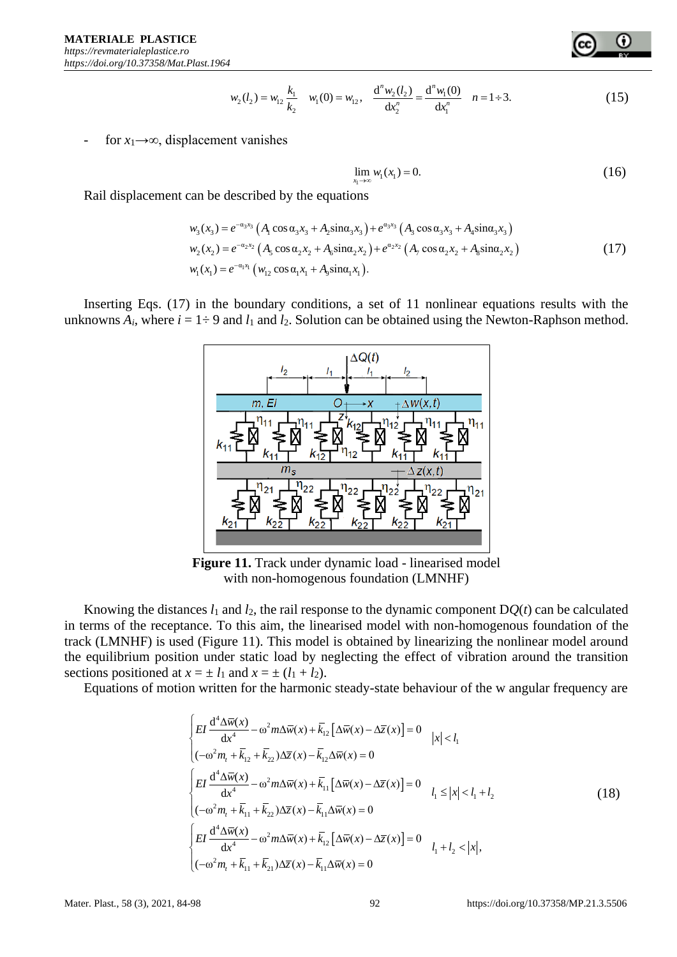

for  $x_1 \rightarrow \infty$ , displacement vanishes

$$
\lim_{x_1 \to \infty} w_1(x_1) = 0. \tag{16}
$$

Rail displacement can be described by the equations

$$
\begin{aligned}\n\text{tan be described by the equations} \\
w_3(x_3) &= e^{-\alpha_3 x_3} \left( A_1 \cos \alpha_3 x_3 + A_2 \sin \alpha_3 x_3 \right) + e^{\alpha_3 x_3} \left( A_3 \cos \alpha_3 x_3 + A_4 \sin \alpha_3 x_3 \right) \\
w_2(x_2) &= e^{-\alpha_2 x_2} \left( A_5 \cos \alpha_2 x_2 + A_6 \sin \alpha_2 x_2 \right) + e^{\alpha_2 x_2} \left( A_7 \cos \alpha_2 x_2 + A_8 \sin \alpha_2 x_2 \right) \\
w_1(x_1) &= e^{-\alpha_1 x_1} \left( w_{12} \cos \alpha_1 x_1 + A_9 \sin \alpha_1 x_1 \right).\n\end{aligned}\n\tag{17}
$$

Inserting Eqs. (17) in the boundary conditions, a set of 11 nonlinear equations results with the unknowns  $A_i$ , where  $i = 1 \div 9$  and  $l_1$  and  $l_2$ . Solution can be obtained using the Newton-Raphson method.



**Figure 11.** Track under dynamic load - linearised model with non-homogenous foundation (LMNHF)

Knowing the distances  $l_1$  and  $l_2$ , the rail response to the dynamic component  $DQ(t)$  can be calculated in terms of the receptance. To this aim, the linearised model with non-homogenous foundation of the track (LMNHF) is used (Figure 11). This model is obtained by linearizing the nonlinear model around the equilibrium position under static load by neglecting the effect of vibration around the transition sections positioned at  $x = \pm l_1$  and  $x = \pm (l_1 + l_2)$ .

Equations of motion written for the harmonic steady-state behaviour of the w angular frequency are

$$
w_5(l_3) = w_{15} \frac{k_1}{k_2} \quad w_1(0) = w_{15}, \quad \frac{d^2w_5(l_3)}{dt_3^2} = \frac{d^2w_1(0)}{dt_1^2} = 1+3.
$$
\n
$$
15
$$
\nFor  $x_1 \rightarrow \infty$ , displacement vanishes

\n
$$
\lim_{x_2 \to \infty} w_1(x_1) = 0.
$$
\n16

\nReal displacement can be described by the equations

\n
$$
w_2(x_2) = e^{-x_2x_2} (A_1 \cos \alpha_2 x_2 + A_2 \sin \alpha_2 x_2) + e^{x_2x_2} (A_1 \cos \alpha_2 x_2 + A_2 \sin \alpha_2 x_2)
$$
\n
$$
w_2(x_3) = e^{-x_2x_2} (A_2 \cos \alpha_2 x_3 + A_2 \sin \alpha_2 x_2) + e^{x_2x_2} (A_1 \cos \alpha_2 x_3 + A_2 \sin \alpha_2 x_2)
$$
\nInserting Eqs. (17) in the boundary conditions, a set of 11 nonlinear equations results with the unknowns A, where  $i = 1 \div 9$  and  $l_1$  and  $l_2$ . Solution can be obtained using the Newton-Raphson method

\n
$$
\frac{1}{m_1 \cdot \frac{1}{m_1 \cdot \frac{1}{m_1 \cdot \frac{1}{m_1 \cdot \frac{1}{m_1 \cdot \frac{1}{m_1 \cdot \frac{1}{m_1 \cdot \frac{1}{m_1 \cdot \frac{1}{m_1 \cdot \frac{1}{m_1 \cdot \frac{1}{m_1 \cdot \frac{1}{m_1 \cdot \frac{1}{m_1 \cdot \frac{1}{m_1 \cdot \frac{1}{m_1 \cdot \frac{1}{m_1 \cdot \frac{1}{m_1 \cdot \frac{1}{m_1 \cdot \frac{1}{m_1 \cdot \frac{1}{m_1 \cdot \frac{1}{m_1 \cdot \frac{1}{m_1 \cdot \frac{1}{m_1 \cdot \frac{1}{m_1 \cdot \frac{1}{m_1 \cdot \frac{1}{m_1 \cdot \frac{1}{m_1 \cdot \frac{1}{m_1 \cdot \frac{1}{m_1 \cdot \frac{1}{m_1 \cdot \frac{1}{m_1 \cdot \frac{1}{m_1
$$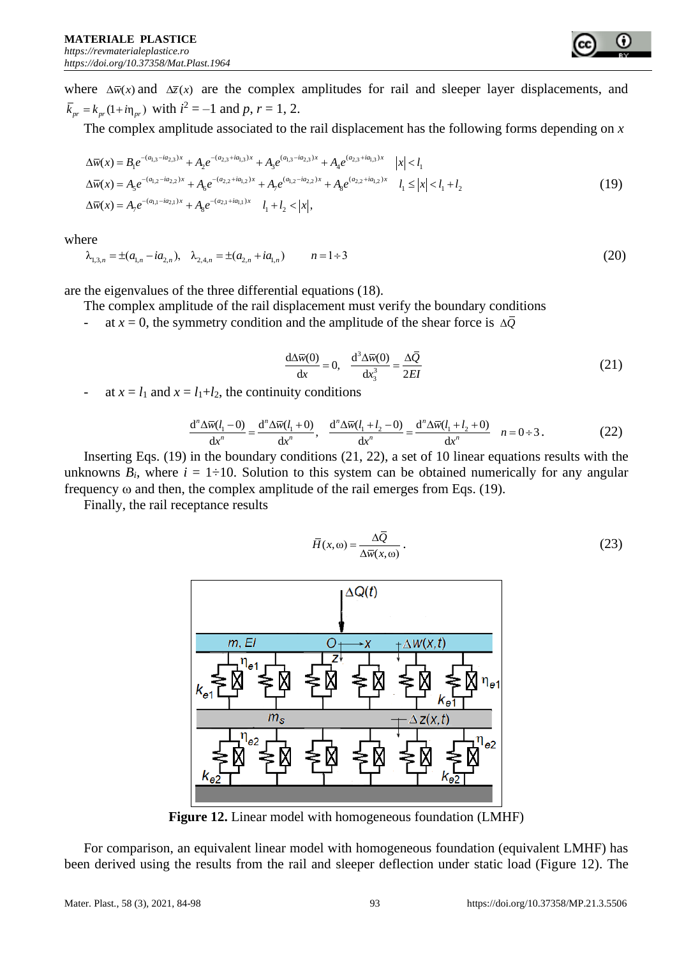where  $\Delta \bar{w}(x)$  and  $\Delta \bar{z}(x)$  are the complex amplitudes for rail and sleeper layer displacements, and  $\bar{k}_{pr} = k_{pr} (1 + i \eta_{pr})$  with  $i^2 = -1$  and p,  $r = 1, 2$ .

The complex amplitude associated to the rail displacement has the following forms depending on 
$$
x
$$
  
\n
$$
\Delta \overline{w}(x) = B_1 e^{-(a_{1,3} - ia_{2,3})x} + A_2 e^{-(a_{2,3} + ia_{1,3})x} + A_3 e^{(a_{1,3} - ia_{2,3})x} + A_4 e^{(a_{2,3} + ia_{1,3})x} |x| < l_1
$$
\n
$$
\Delta \overline{w}(x) = A_5 e^{-(a_{1,2} - ia_{2,2})x} + A_6 e^{-(a_{2,2} + ia_{1,2})x} + A_7 e^{(a_{1,2} - ia_{2,2})x} + A_8 e^{(a_{2,2} + ia_{1,2})x} l_1 \le |x| < l_1 + l_2
$$
\n
$$
\Delta \overline{w}(x) = A_7 e^{-(a_{1,1} - ia_{2,1})x} + A_8 e^{-(a_{2,1} + ia_{1,1})x} l_1 + l_2 < |x|,
$$
\n(19)

where

$$
\begin{aligned}\n\text{here} \\
\lambda_{1,3,n} &= \pm (a_{1,n} - ia_{2,n}), \quad \lambda_{2,4,n} = \pm (a_{2,n} + ia_{1,n}) \\
n &= 1 \div 3\n\end{aligned} \tag{20}
$$

are the eigenvalues of the three differential equations (18).

The complex amplitude of the rail displacement must verify the boundary conditions

- at  $x = 0$ , the symmetry condition and the amplitude of the shear force is  $\Delta \overline{Q}$ 

$$
\frac{d\Delta \bar{w}(0)}{dx} = 0, \quad \frac{d^3 \Delta \bar{w}(0)}{dx_3^3} = \frac{\Delta \bar{Q}}{2EI}
$$
(21)

at 
$$
x = l_1
$$
 and  $x = l_1 + l_2$ , the continuity conditions  
\n
$$
\frac{d^n \Delta \overline{w}(l_1 - 0)}{dx^n} = \frac{d^n \Delta \overline{w}(l_1 + 0)}{dx^n}, \quad \frac{d^n \Delta \overline{w}(l_1 + l_2 - 0)}{dx^n} = \frac{d^n \Delta \overline{w}(l_1 + l_2 + 0)}{dx^n} \quad n = 0 \div 3.
$$
\n(22)  
\nInserting Eqs. (19) in the boundary conditions (21, 22), a set of 10 linear equations results with the

unknowns  $B_i$ , where  $i = 1\div 10$ . Solution to this system can be obtained numerically for any angular frequency  $\omega$  and then, the complex amplitude of the rail emerges from Eqs. (19).

Finally, the rail receptance results

$$
\bar{H}(x,\omega) = \frac{\Delta \bar{Q}}{\Delta \bar{w}(x,\omega)}.
$$
\n(23)



**Figure 12.** Linear model with homogeneous foundation (LMHF)

For comparison, an equivalent linear model with homogeneous foundation (equivalent LMHF) has been derived using the results from the rail and sleeper deflection under static load (Figure 12). The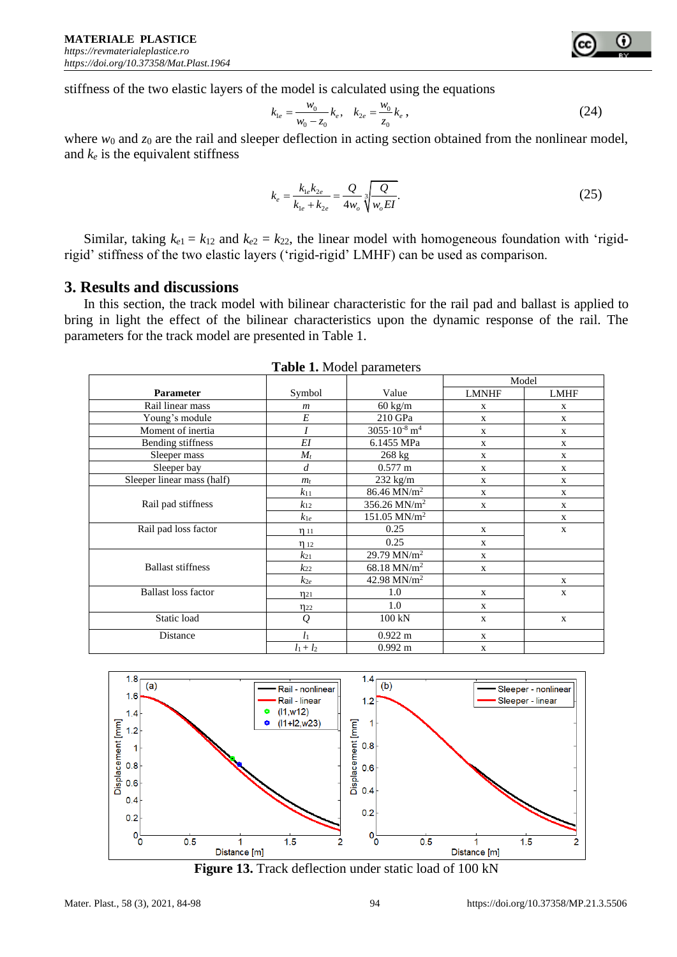stiffness of the two elastic layers of the model is calculated using the equations

$$
k_{1e} = \frac{w_0}{w_0 - z_0} k_e, \quad k_{2e} = \frac{w_0}{z_0} k_e,
$$
 (24)

where *w*<sub>0</sub> and *z*<sub>0</sub> are the rail and sleeper deflection in acting section obtained from the nonlinear model, and *k<sup>e</sup>* is the equivalent stiffness

$$
k_e = \frac{k_{1e}k_{2e}}{k_{1e} + k_{2e}} = \frac{Q}{4w_o} \sqrt[3]{\frac{Q}{w_o EI}}.
$$
\n(25)

Similar, taking  $k_{e1} = k_{12}$  and  $k_{e2} = k_{22}$ , the linear model with homogeneous foundation with 'rigidrigid' stiffness of the two elastic layers ('rigid-rigid' LMHF) can be used as comparison.

### **3. Results and discussions**

In this section, the track model with bilinear characteristic for the rail pad and ballast is applied to bring in light the effect of the bilinear characteristics upon the dynamic response of the rail. The parameters for the track model are presented in Table 1.

|                            |                  |                                     | Model        |              |
|----------------------------|------------------|-------------------------------------|--------------|--------------|
| <b>Parameter</b>           | Symbol           | Value                               | LMNHF        | <b>LMHF</b>  |
| Rail linear mass           | $\boldsymbol{m}$ | $60 \text{ kg/m}$                   | $\mathbf X$  | $\mathbf X$  |
| Young's module             | E                | 210 GPa                             | $\mathbf X$  | $\mathbf X$  |
| Moment of inertia          |                  | $3055 \cdot 10^{-8}$ m <sup>4</sup> | X            | X            |
| Bending stiffness          | EI               | 6.1455 MPa                          | $\mathbf X$  | $\mathbf X$  |
| Sleeper mass               | $M_t$            | $268 \text{ kg}$                    | $\mathbf{X}$ | $\mathbf{X}$ |
| Sleeper bay                | $\overline{d}$   | $0.577 \text{ m}$                   | $\mathbf{X}$ | $\mathbf{X}$ |
| Sleeper linear mass (half) | $m_t$            | $232$ kg/m                          | X            | $\mathbf X$  |
|                            | $k_{11}$         | 86.46 MN/m <sup>2</sup>             | $\mathbf{X}$ | $\mathbf{X}$ |
| Rail pad stiffness         | $k_{12}$         | 356.26 MN/m <sup>2</sup>            | $\mathbf{X}$ | $\mathbf{X}$ |
|                            | $k_{1e}$         | $151.05$ MN/m <sup>2</sup>          |              | X            |
| Rail pad loss factor       | $\eta_{11}$      | 0.25                                | $\mathbf X$  | $\mathbf X$  |
|                            | $\eta$ 12        | 0.25                                | $\mathbf{X}$ |              |
|                            | $k_{21}$         | 29.79 MN/ $m^2$                     | $\mathbf{X}$ |              |
| <b>Ballast stiffness</b>   | $k_{22}$         | $68.18$ MN/m <sup>2</sup>           | $\mathbf X$  |              |
|                            | $k_{2e}$         | 42.98 MN/ $m^2$                     |              | X            |
| <b>Ballast loss factor</b> | $\eta_{21}$      | 1.0                                 | $\mathbf{X}$ | $\mathbf{X}$ |
|                            | $\eta_{22}$      | 1.0                                 | $\mathbf X$  |              |
| Static load                | $\varrho$        | 100 kN                              | $\mathbf{X}$ | X            |
| Distance                   | $l_1$            | $0.922 \text{ m}$                   | $\mathbf X$  |              |
|                            | $l_1 + l_2$      | $0.992 \text{ m}$                   | $\mathbf{X}$ |              |





**Figure 13.** Track deflection under static load of 100 kN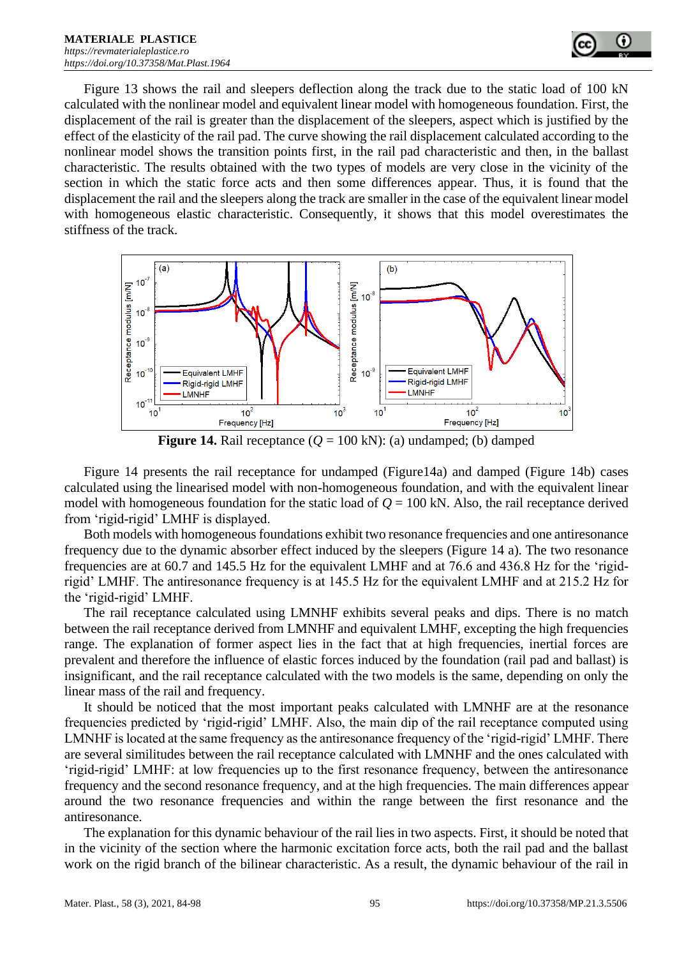

Figure 13 shows the rail and sleepers deflection along the track due to the static load of 100 kN calculated with the nonlinear model and equivalent linear model with homogeneous foundation. First, the displacement of the rail is greater than the displacement of the sleepers, aspect which is justified by the effect of the elasticity of the rail pad. The curve showing the rail displacement calculated according to the nonlinear model shows the transition points first, in the rail pad characteristic and then, in the ballast characteristic. The results obtained with the two types of models are very close in the vicinity of the section in which the static force acts and then some differences appear. Thus, it is found that the displacement the rail and the sleepers along the track are smaller in the case of the equivalent linear model with homogeneous elastic characteristic. Consequently, it shows that this model overestimates the stiffness of the track.



**Figure 14.** Rail receptance  $(Q = 100 \text{ kN})$ : (a) undamped; (b) damped

Figure 14 presents the rail receptance for undamped (Figure14a) and damped (Figure 14b) cases calculated using the linearised model with non-homogeneous foundation, and with the equivalent linear model with homogeneous foundation for the static load of  $Q = 100$  kN. Also, the rail receptance derived from 'rigid-rigid' LMHF is displayed.

Both models with homogeneous foundations exhibit two resonance frequencies and one antiresonance frequency due to the dynamic absorber effect induced by the sleepers (Figure 14 a). The two resonance frequencies are at 60.7 and 145.5 Hz for the equivalent LMHF and at 76.6 and 436.8 Hz for the 'rigidrigid' LMHF. The antiresonance frequency is at 145.5 Hz for the equivalent LMHF and at 215.2 Hz for the 'rigid-rigid' LMHF.

The rail receptance calculated using LMNHF exhibits several peaks and dips. There is no match between the rail receptance derived from LMNHF and equivalent LMHF, excepting the high frequencies range. The explanation of former aspect lies in the fact that at high frequencies, inertial forces are prevalent and therefore the influence of elastic forces induced by the foundation (rail pad and ballast) is insignificant, and the rail receptance calculated with the two models is the same, depending on only the linear mass of the rail and frequency.

It should be noticed that the most important peaks calculated with LMNHF are at the resonance frequencies predicted by 'rigid-rigid' LMHF. Also, the main dip of the rail receptance computed using LMNHF is located at the same frequency as the antiresonance frequency of the 'rigid-rigid' LMHF. There are several similitudes between the rail receptance calculated with LMNHF and the ones calculated with 'rigid-rigid' LMHF: at low frequencies up to the first resonance frequency, between the antiresonance frequency and the second resonance frequency, and at the high frequencies. The main differences appear around the two resonance frequencies and within the range between the first resonance and the antiresonance.

The explanation for this dynamic behaviour of the rail lies in two aspects. First, it should be noted that in the vicinity of the section where the harmonic excitation force acts, both the rail pad and the ballast work on the rigid branch of the bilinear characteristic. As a result, the dynamic behaviour of the rail in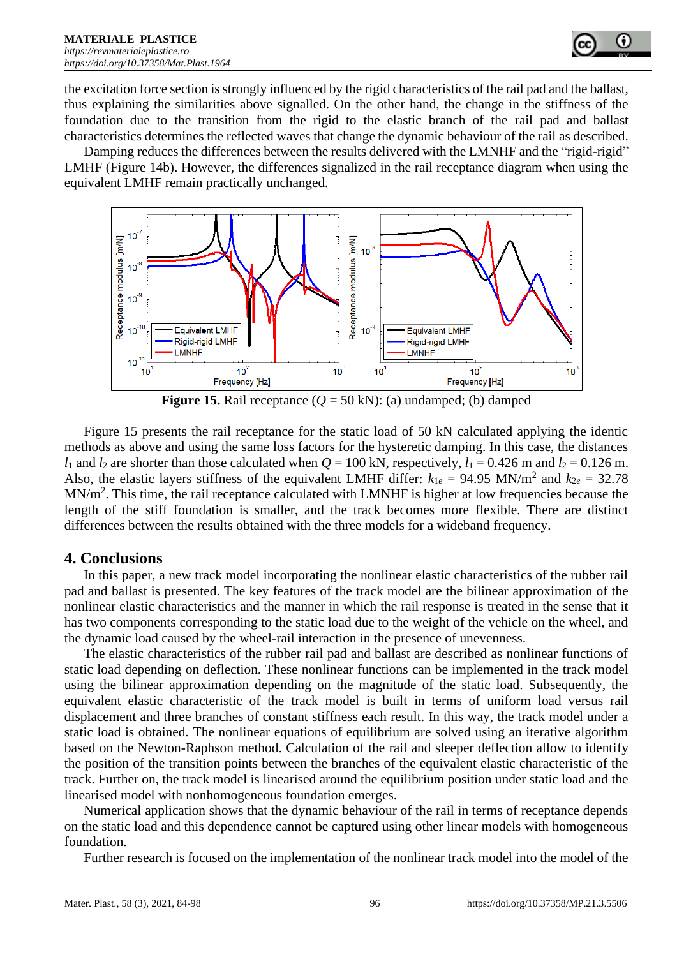

the excitation force section is strongly influenced by the rigid characteristics of the rail pad and the ballast, thus explaining the similarities above signalled. On the other hand, the change in the stiffness of the foundation due to the transition from the rigid to the elastic branch of the rail pad and ballast characteristics determines the reflected waves that change the dynamic behaviour of the rail as described.

Damping reduces the differences between the results delivered with the LMNHF and the "rigid-rigid" LMHF (Figure 14b). However, the differences signalized in the rail receptance diagram when using the equivalent LMHF remain practically unchanged.



**Figure 15.** Rail receptance  $(Q = 50 \text{ kN})$ : (a) undamped; (b) damped

Figure 15 presents the rail receptance for the static load of 50 kN calculated applying the identic methods as above and using the same loss factors for the hysteretic damping. In this case, the distances *l*<sub>1</sub> and *l*<sub>2</sub> are shorter than those calculated when  $Q = 100$  kN, respectively,  $l_1 = 0.426$  m and  $l_2 = 0.126$  m. Also, the elastic layers stiffness of the equivalent LMHF differ:  $k_{1e} = 94.95$  MN/m<sup>2</sup> and  $k_{2e} = 32.78$  $MN/m<sup>2</sup>$ . This time, the rail receptance calculated with LMNHF is higher at low frequencies because the length of the stiff foundation is smaller, and the track becomes more flexible. There are distinct differences between the results obtained with the three models for a wideband frequency.

#### **4. Conclusions**

In this paper, a new track model incorporating the nonlinear elastic characteristics of the rubber rail pad and ballast is presented. The key features of the track model are the bilinear approximation of the nonlinear elastic characteristics and the manner in which the rail response is treated in the sense that it has two components corresponding to the static load due to the weight of the vehicle on the wheel, and the dynamic load caused by the wheel-rail interaction in the presence of unevenness.

The elastic characteristics of the rubber rail pad and ballast are described as nonlinear functions of static load depending on deflection. These nonlinear functions can be implemented in the track model using the bilinear approximation depending on the magnitude of the static load. Subsequently, the equivalent elastic characteristic of the track model is built in terms of uniform load versus rail displacement and three branches of constant stiffness each result. In this way, the track model under a static load is obtained. The nonlinear equations of equilibrium are solved using an iterative algorithm based on the Newton-Raphson method. Calculation of the rail and sleeper deflection allow to identify the position of the transition points between the branches of the equivalent elastic characteristic of the track. Further on, the track model is linearised around the equilibrium position under static load and the linearised model with nonhomogeneous foundation emerges.

Numerical application shows that the dynamic behaviour of the rail in terms of receptance depends on the static load and this dependence cannot be captured using other linear models with homogeneous foundation.

Further research is focused on the implementation of the nonlinear track model into the model of the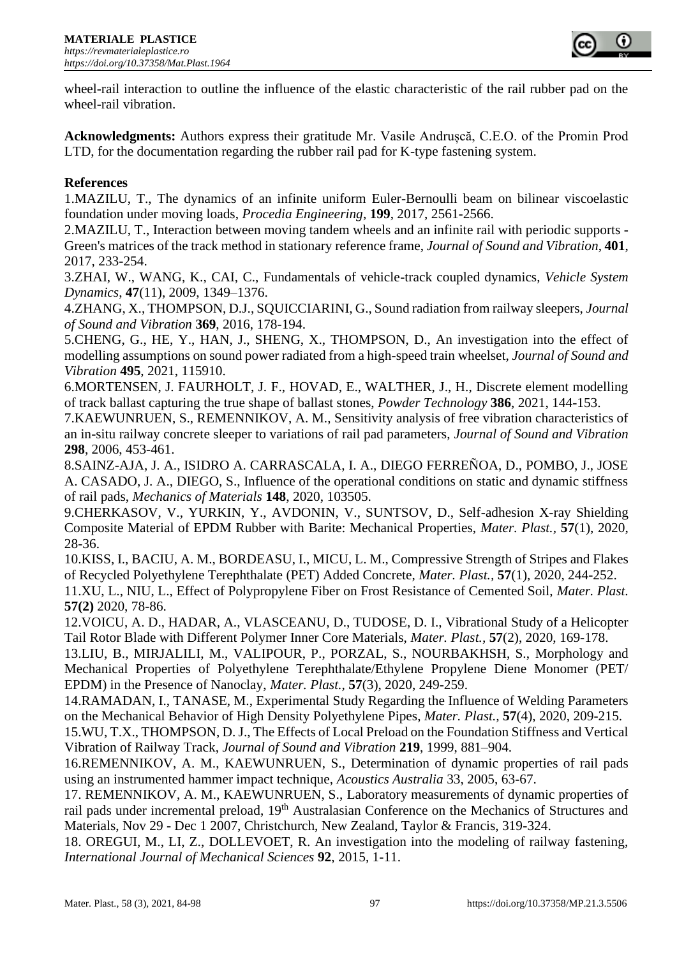

wheel-rail interaction to outline the influence of the elastic characteristic of the rail rubber pad on the wheel-rail vibration.

**Acknowledgments:** Authors express their gratitude Mr. Vasile Andrușcă, C.E.O. of the Promin Prod LTD, for the documentation regarding the rubber rail pad for K-type fastening system.

#### **References**

1.MAZILU, T., The dynamics of an infinite uniform Euler-Bernoulli beam on bilinear viscoelastic foundation under moving loads, *Procedia Engineering*, **199**, 2017, 2561-2566.

2.MAZILU, T., Interaction between moving tandem wheels and an infinite rail with periodic supports - Green's matrices of the track method in stationary reference frame, *Journal of Sound and Vibration*, **401**, 2017, 233-254.

3.ZHAI, W., WANG, K., CAI, C., Fundamentals of vehicle-track coupled dynamics, *Vehicle System Dynamics*, **47**(11), 2009, 1349–1376.

4.ZHANG, X., THOMPSON, D.J., SQUICCIARINI, G., Sound radiation from railway sleepers, *Journal of Sound and Vibration* **369**, 2016, 178-194.

5.CHENG, G., HE, Y., HAN, J., SHENG, X., THOMPSON, D., An investigation into the effect of modelling assumptions on sound power radiated from a high-speed train wheelset, *Journal of Sound and Vibration* **495**, 2021, 115910.

6.MORTENSEN, J. FAURHOLT, J. F., HOVAD, E., WALTHER, J., H., Discrete element modelling of track ballast capturing the true shape of ballast stones, *Powder Technology* **386**, 2021, 144-153.

7.KAEWUNRUEN, S., REMENNIKOV, A. M., Sensitivity analysis of free vibration characteristics of an in-situ railway concrete sleeper to variations of rail pad parameters, *Journal of Sound and Vibration* **298**, 2006, 453-461.

8.SAINZ-AJA, J. A., ISIDRO A. CARRASCALA, I. A., DIEGO FERREÑOA, D., POMBO, J., JOSE A. CASADO, J. A., DIEGO, S., Influence of the operational conditions on static and dynamic stiffness of rail pads, *Mechanics of Materials* **148**, 2020, 103505.

9.CHERKASOV, V., YURKIN, Y., AVDONIN, V., SUNTSOV, D., Self-adhesion X-ray Shielding Composite Material of EPDM Rubber with Barite: Mechanical Properties, *Mater. Plast.,* **57**(1), 2020, 28-36.

10.KISS, I., BACIU, A. M., BORDEASU, I., MICU, L. M., Compressive Strength of Stripes and Flakes of Recycled Polyethylene Terephthalate (PET) Added Concrete, *Mater. Plast.,* **57**(1), 2020, 244-252.

11.XU, L., NIU, L., Effect of Polypropylene Fiber on Frost Resistance of Cemented Soil, *Mater. Plast.* **57(2)** 2020, 78-86.

12.VOICU, A. D., HADAR, A., VLASCEANU, D., TUDOSE, D. I., Vibrational Study of a Helicopter Tail Rotor Blade with Different Polymer Inner Core Materials, *Mater. Plast.,* **57**(2), 2020, 169-178.

13.LIU, B., MIRJALILI, M., VALIPOUR, P., PORZAL, S., NOURBAKHSH, S., Morphology and Mechanical Properties of Polyethylene Terephthalate/Ethylene Propylene Diene Monomer (PET/ EPDM) in the Presence of Nanoclay, *Mater. Plast.,* **57**(3), 2020, 249-259.

14.RAMADAN, I., TANASE, M., Experimental Study Regarding the Influence of Welding Parameters on the Mechanical Behavior of High Density Polyethylene Pipes, *Mater. Plast.,* **57**(4), 2020, 209-215.

15.WU, T.X., THOMPSON, D. J., The Effects of Local Preload on the Foundation Stiffness and Vertical Vibration of Railway Track, *Journal of Sound and Vibration* **219**, 1999, 881–904.

16.REMENNIKOV, A. M., KAEWUNRUEN, S., Determination of dynamic properties of rail pads using an instrumented hammer impact technique, *Acoustics Australia* 33, 2005, 63-67.

17. REMENNIKOV, A. M., KAEWUNRUEN, S., Laboratory measurements of dynamic properties of rail pads under incremental preload, 19<sup>th</sup> Australasian Conference on the Mechanics of Structures and Materials, Nov 29 - Dec 1 2007, Christchurch, New Zealand, Taylor & Francis, 319-324.

18. OREGUI, M., LI, Z., DOLLEVOET, R. An investigation into the modeling of railway fastening, *International Journal of Mechanical Sciences* **92**, 2015, 1-11.